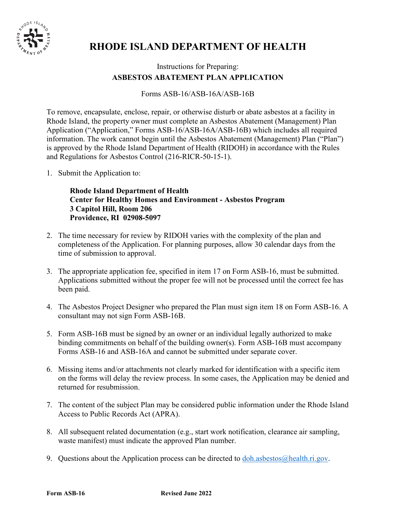

# **RHODE ISLAND DEPARTMENT OF HEALTH**

# Instructions for Preparing: **ASBESTOS ABATEMENT PLAN APPLICATION**

### Forms ASB-16/ASB-16A/ASB-16B

To remove, encapsulate, enclose, repair, or otherwise disturb or abate asbestos at a facility in Rhode Island, the property owner must complete an Asbestos Abatement (Management) Plan Application ("Application," Forms ASB-16/ASB-16A/ASB-16B) which includes all required information. The work cannot begin until the Asbestos Abatement (Management) Plan ("Plan") is approved by the Rhode Island Department of Health (RIDOH) in accordance with the Rules and Regulations for Asbestos Control (216-RICR-50-15-1).

1. Submit the Application to:

**Rhode Island Department of Health Center for Healthy Homes and Environment - Asbestos Program 3 Capitol Hill, Room 206 Providence, RI 02908-5097**

- 2. The time necessary for review by RIDOH varies with the complexity of the plan and completeness of the Application. For planning purposes, allow 30 calendar days from the time of submission to approval.
- 3. The appropriate application fee, specified in item 17 on Form ASB-16, must be submitted. Applications submitted without the proper fee will not be processed until the correct fee has been paid.
- 4. The Asbestos Project Designer who prepared the Plan must sign item 18 on Form ASB-16. A consultant may not sign Form ASB-16B.
- 5. Form ASB-16B must be signed by an owner or an individual legally authorized to make binding commitments on behalf of the building owner(s). Form ASB-16B must accompany Forms ASB-16 and ASB-16A and cannot be submitted under separate cover.
- 6. Missing items and/or attachments not clearly marked for identification with a specific item on the forms will delay the review process. In some cases, the Application may be denied and returned for resubmission.
- 7. The content of the subject Plan may be considered public information under the Rhode Island Access to Public Records Act (APRA).
- 8. All subsequent related documentation (e.g., start work notification, clearance air sampling, waste manifest) must indicate the approved Plan number.
- 9. Questions about the Application process can be directed to  $d_{\text{oh.} \text{asbestos}(\hat{\omega} \text{health.}ri.gov.}$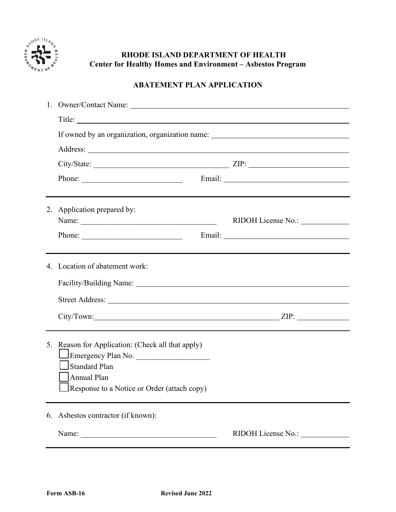

# **RHODE ISLAND DEPARTMENT OF HEALTH Center for Healthy Homes and Environment – Asbestos Program**

# **ABATEMENT PLAN APPLICATION**

|    | If owned by an organization, organization name: ________________________________                                                                       |  |                                                                                                                                                                                                                                |  |
|----|--------------------------------------------------------------------------------------------------------------------------------------------------------|--|--------------------------------------------------------------------------------------------------------------------------------------------------------------------------------------------------------------------------------|--|
|    |                                                                                                                                                        |  |                                                                                                                                                                                                                                |  |
|    |                                                                                                                                                        |  |                                                                                                                                                                                                                                |  |
|    |                                                                                                                                                        |  |                                                                                                                                                                                                                                |  |
|    | Phone:                                                                                                                                                 |  |                                                                                                                                                                                                                                |  |
|    | 2. Application prepared by:                                                                                                                            |  |                                                                                                                                                                                                                                |  |
|    |                                                                                                                                                        |  |                                                                                                                                                                                                                                |  |
|    | Phone:                                                                                                                                                 |  | Email: North Communication of the Communication of the Communication of the Communication of the Communication of the Communication of the Communication of the Communication of the Communication of the Communication of the |  |
|    | 4. Location of abatement work:                                                                                                                         |  |                                                                                                                                                                                                                                |  |
|    | Facility/Building Name: 1997 and 2008 and 2009 and 2009 and 2009 and 2009 and 2009 and 2009 and 2009 and 2009                                          |  |                                                                                                                                                                                                                                |  |
|    |                                                                                                                                                        |  |                                                                                                                                                                                                                                |  |
|    |                                                                                                                                                        |  |                                                                                                                                                                                                                                |  |
|    | 5. Reason for Application: (Check all that apply)<br>Emergency Plan No.<br>Standard Plan<br>Annual Plan<br>Response to a Notice or Order (attach copy) |  |                                                                                                                                                                                                                                |  |
| 6. | Asbestos contractor (if known):                                                                                                                        |  |                                                                                                                                                                                                                                |  |
|    | Name:                                                                                                                                                  |  | RIDOH License No.:                                                                                                                                                                                                             |  |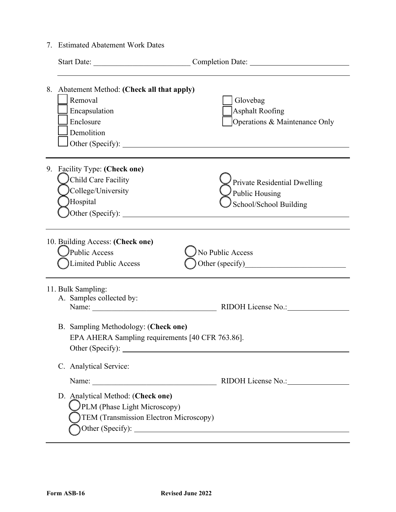7. Estimated Abatement Work Dates

|                                                                                          | Start Date:                                                                                                                                                                                                                                                                      |                                                                                 |
|------------------------------------------------------------------------------------------|----------------------------------------------------------------------------------------------------------------------------------------------------------------------------------------------------------------------------------------------------------------------------------|---------------------------------------------------------------------------------|
|                                                                                          | 8. Abatement Method: (Check all that apply)<br>Removal<br>Encapsulation<br>Enclosure<br>Demolition                                                                                                                                                                               | Glovebag<br><b>Asphalt Roofing</b><br>Operations & Maintenance Only             |
| 9.                                                                                       | <b>Facility Type: (Check one)</b><br>Child Care Facility<br>College/University<br>Hospital                                                                                                                                                                                       | <b>Private Residential Dwelling</b><br>Public Housing<br>School/School Building |
|                                                                                          | 10. Building Access: (Check one)<br>Public Access<br>Limited Public Access                                                                                                                                                                                                       | No Public Access                                                                |
|                                                                                          | 11. Bulk Sampling:<br>A. Samples collected by:<br>Name: Name and the second state of the second state of the second state of the second state of the second state of the second state of the second state of the second state of the second state of the second state of the sec | RIDOH License No.:                                                              |
| B. Sampling Methodology: (Check one)<br>EPA AHERA Sampling requirements [40 CFR 763.86]. |                                                                                                                                                                                                                                                                                  |                                                                                 |
|                                                                                          | C. Analytical Service:                                                                                                                                                                                                                                                           |                                                                                 |
|                                                                                          |                                                                                                                                                                                                                                                                                  | RIDOH License No.: 1997                                                         |
|                                                                                          | D. Analytical Method: (Check one)<br>PLM (Phase Light Microscopy)<br>TEM (Transmission Electron Microscopy)                                                                                                                                                                      |                                                                                 |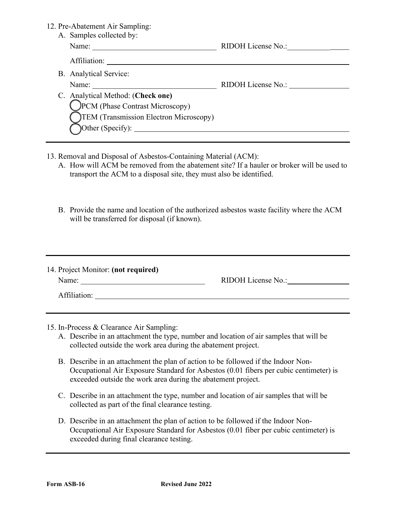#### 12. Pre-Abatement Air Sampling:

| $110$ and $100$ and $100$ and $100$ and $100$ and $100$ and $100$ and $100$ and $100$ and $100$ and $100$ and $100$ and $100$ and $100$ and $100$ and $100$ and $100$ and $100$ and $100$ and $100$ and $100$ and $100$ and |                                                                                         |  |
|-----------------------------------------------------------------------------------------------------------------------------------------------------------------------------------------------------------------------------|-----------------------------------------------------------------------------------------|--|
| Name:                                                                                                                                                                                                                       | RIDOH License No.:                                                                      |  |
| Affiliation:                                                                                                                                                                                                                |                                                                                         |  |
|                                                                                                                                                                                                                             |                                                                                         |  |
| Name:                                                                                                                                                                                                                       | RIDOH License No.:                                                                      |  |
|                                                                                                                                                                                                                             |                                                                                         |  |
| <b>PCM</b> (Phase Contrast Microscopy)                                                                                                                                                                                      |                                                                                         |  |
| TEM (Transmission Electron Microscopy)                                                                                                                                                                                      |                                                                                         |  |
| $\text{Other (Specify)}:$                                                                                                                                                                                                   |                                                                                         |  |
|                                                                                                                                                                                                                             | A. Samples collected by:<br>B. Analytical Service:<br>C. Analytical Method: (Check one) |  |

- 13. Removal and Disposal of Asbestos-Containing Material (ACM):
	- A. How will ACM be removed from the abatement site? If a hauler or broker will be used to transport the ACM to a disposal site, they must also be identified.
	- B. Provide the name and location of the authorized asbestos waste facility where the ACM will be transferred for disposal (if known).

| 14. Project Monitor: (not required) |                    |
|-------------------------------------|--------------------|
| Name:                               | RIDOH License No.: |
| Affiliation:                        |                    |

- 15. In-Process & Clearance Air Sampling:
	- A. Describe in an attachment the type, number and location of air samples that will be collected outside the work area during the abatement project.
	- B. Describe in an attachment the plan of action to be followed if the Indoor Non-Occupational Air Exposure Standard for Asbestos (0.01 fibers per cubic centimeter) is exceeded outside the work area during the abatement project.
	- C. Describe in an attachment the type, number and location of air samples that will be collected as part of the final clearance testing.
	- D. Describe in an attachment the plan of action to be followed if the Indoor Non-Occupational Air Exposure Standard for Asbestos (0.01 fiber per cubic centimeter) is exceeded during final clearance testing.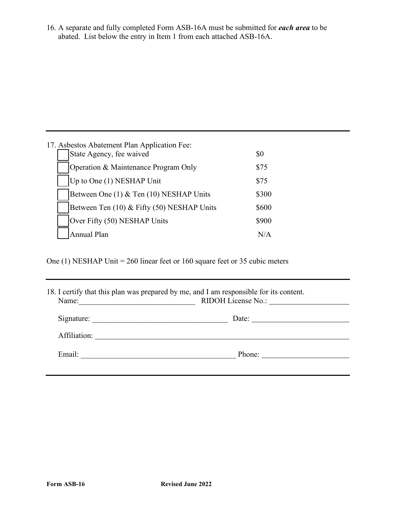16. A separate and fully completed Form ASB-16A must be submitted for *each area* to be abated. List below the entry in Item 1 from each attached ASB-16A.

| 17. Asbestos Abatement Plan Application Fee:<br>State Agency, fee waived | \$0        |
|--------------------------------------------------------------------------|------------|
| Operation & Maintenance Program Only                                     | \$75       |
| Up to One (1) NESHAP Unit                                                | \$75       |
| Between One (1) & Ten (10) NESHAP Units                                  | \$300      |
| Between Ten (10) & Fifty (50) NESHAP Units                               | \$600      |
| Over Fifty (50) NESHAP Units                                             | \$900      |
| <b>Annual Plan</b>                                                       | $N/\Delta$ |

One (1) NESHAP Unit = 260 linear feet or 160 square feet or 35 cubic meters

|                                                                                                                                 | 18. I certify that this plan was prepared by me, and I am responsible for its content. |
|---------------------------------------------------------------------------------------------------------------------------------|----------------------------------------------------------------------------------------|
| Name:<br><u> 1989 - Johann Barn, mars ann an t-Amhain ann an t-Amhain an t-Amhain an t-Amhain an t-Amhain an t-Amhain an t-</u> | RIDOH License No.:                                                                     |
| Signature:                                                                                                                      |                                                                                        |
|                                                                                                                                 | Affiliation:                                                                           |
| Email:                                                                                                                          | Phone:                                                                                 |
|                                                                                                                                 |                                                                                        |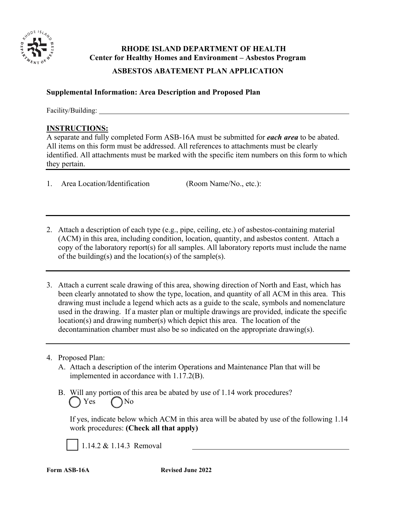

# **RHODE ISLAND DEPARTMENT OF HEALTH Center for Healthy Homes and Environment – Asbestos Program**

# **ASBESTOS ABATEMENT PLAN APPLICATION**

# **Supplemental Information: Area Description and Proposed Plan**

Facility/Building:

### **INSTRUCTIONS:**

A separate and fully completed Form ASB-16A must be submitted for *each area* to be abated. All items on this form must be addressed. All references to attachments must be clearly identified. All attachments must be marked with the specific item numbers on this form to which they pertain.

1. Area Location/Identification (Room Name/No., etc.):

- 2. Attach a description of each type (e.g., pipe, ceiling, etc.) of asbestos-containing material (ACM) in this area, including condition, location, quantity, and asbestos content. Attach a copy of the laboratory report(s) for all samples. All laboratory reports must include the name of the building(s) and the location(s) of the sample(s).
- 3. Attach a current scale drawing of this area, showing direction of North and East, which has been clearly annotated to show the type, location, and quantity of all ACM in this area. This drawing must include a legend which acts as a guide to the scale, symbols and nomenclature used in the drawing. If a master plan or multiple drawings are provided, indicate the specific location(s) and drawing number(s) which depict this area. The location of the decontamination chamber must also be so indicated on the appropriate drawing(s).

# 4. Proposed Plan:

- A. Attach a description of the interim Operations and Maintenance Plan that will be implemented in accordance with 1.17.2(B).
- B. Will any portion of this area be abated by use of 1.14 work procedures? ( ) Yes ∩No

If yes, indicate below which ACM in this area will be abated by use of the following 1.14 work procedures: **(Check all that apply)** 

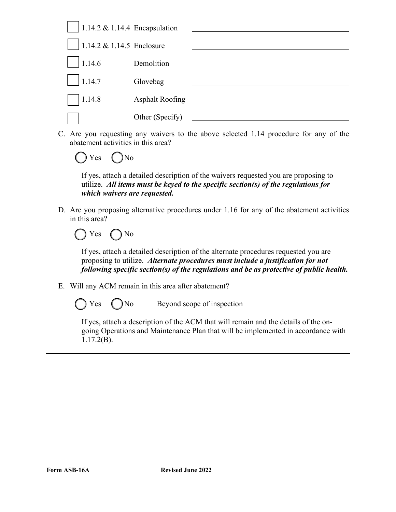

C. Are you requesting any waivers to the above selected 1.14 procedure for any of the abatement activities in this area?



If yes, attach a detailed description of the waivers requested you are proposing to utilize. *All items must be keyed to the specific section(s) of the regulations for which waivers are requested.*

D. Are you proposing alternative procedures under 1.16 for any of the abatement activities in this area?



If yes, attach a detailed description of the alternate procedures requested you are proposing to utilize. *Alternate procedures must include a justification for not following specific section(s) of the regulations and be as protective of public health.*

- E. Will any ACM remain in this area after abatement?
	-

Yes ()No Beyond scope of inspection

If yes, attach a description of the ACM that will remain and the details of the ongoing Operations and Maintenance Plan that will be implemented in accordance with 1.17.2(B).